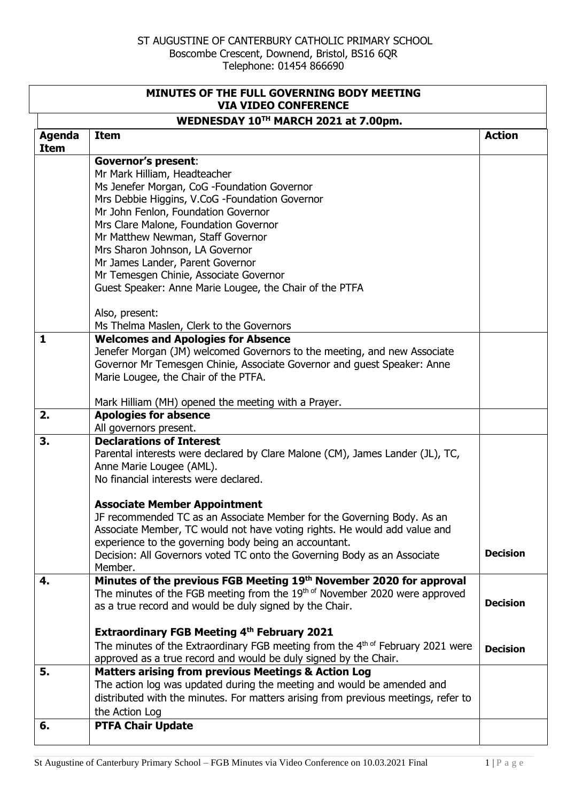| MINUTES OF THE FULL GOVERNING BODY MEETING<br><b>VIA VIDEO CONFERENCE</b> |                                                                                                                                                    |                 |
|---------------------------------------------------------------------------|----------------------------------------------------------------------------------------------------------------------------------------------------|-----------------|
|                                                                           | WEDNESDAY 10TH MARCH 2021 at 7.00pm.                                                                                                               |                 |
| <b>Agenda</b><br><b>Item</b>                                              | <b>Item</b>                                                                                                                                        | <b>Action</b>   |
|                                                                           | <b>Governor's present:</b>                                                                                                                         |                 |
|                                                                           | Mr Mark Hilliam, Headteacher                                                                                                                       |                 |
|                                                                           | Ms Jenefer Morgan, CoG -Foundation Governor                                                                                                        |                 |
|                                                                           | Mrs Debbie Higgins, V.CoG -Foundation Governor                                                                                                     |                 |
|                                                                           | Mr John Fenlon, Foundation Governor                                                                                                                |                 |
|                                                                           | Mrs Clare Malone, Foundation Governor                                                                                                              |                 |
|                                                                           | Mr Matthew Newman, Staff Governor                                                                                                                  |                 |
|                                                                           | Mrs Sharon Johnson, LA Governor                                                                                                                    |                 |
|                                                                           | Mr James Lander, Parent Governor                                                                                                                   |                 |
|                                                                           | Mr Temesgen Chinie, Associate Governor                                                                                                             |                 |
|                                                                           | Guest Speaker: Anne Marie Lougee, the Chair of the PTFA                                                                                            |                 |
|                                                                           | Also, present:                                                                                                                                     |                 |
|                                                                           | Ms Thelma Maslen, Clerk to the Governors                                                                                                           |                 |
| $\mathbf{1}$                                                              | <b>Welcomes and Apologies for Absence</b>                                                                                                          |                 |
|                                                                           | Jenefer Morgan (JM) welcomed Governors to the meeting, and new Associate                                                                           |                 |
|                                                                           | Governor Mr Temesgen Chinie, Associate Governor and guest Speaker: Anne                                                                            |                 |
|                                                                           | Marie Lougee, the Chair of the PTFA.                                                                                                               |                 |
|                                                                           | Mark Hilliam (MH) opened the meeting with a Prayer.                                                                                                |                 |
| 2.                                                                        | <b>Apologies for absence</b>                                                                                                                       |                 |
|                                                                           | All governors present.                                                                                                                             |                 |
| 3.                                                                        | <b>Declarations of Interest</b>                                                                                                                    |                 |
|                                                                           | Parental interests were declared by Clare Malone (CM), James Lander (JL), TC,                                                                      |                 |
|                                                                           | Anne Marie Lougee (AML).                                                                                                                           |                 |
|                                                                           | No financial interests were declared.                                                                                                              |                 |
|                                                                           | <b>Associate Member Appointment</b>                                                                                                                |                 |
|                                                                           | JF recommended TC as an Associate Member for the Governing Body. As an                                                                             |                 |
|                                                                           | Associate Member, TC would not have voting rights. He would add value and                                                                          |                 |
|                                                                           | experience to the governing body being an accountant.                                                                                              | <b>Decision</b> |
|                                                                           | Decision: All Governors voted TC onto the Governing Body as an Associate                                                                           |                 |
| 4.                                                                        | Member.                                                                                                                                            |                 |
|                                                                           | Minutes of the previous FGB Meeting 19th November 2020 for approval<br>The minutes of the FGB meeting from the 19th of November 2020 were approved |                 |
|                                                                           | as a true record and would be duly signed by the Chair.                                                                                            | <b>Decision</b> |
|                                                                           |                                                                                                                                                    |                 |
|                                                                           | <b>Extraordinary FGB Meeting 4th February 2021</b>                                                                                                 |                 |
|                                                                           | The minutes of the Extraordinary FGB meeting from the 4 <sup>th of</sup> February 2021 were                                                        | <b>Decision</b> |
|                                                                           | approved as a true record and would be duly signed by the Chair.                                                                                   |                 |
| 5.                                                                        | <b>Matters arising from previous Meetings &amp; Action Log</b>                                                                                     |                 |
|                                                                           | The action log was updated during the meeting and would be amended and                                                                             |                 |
|                                                                           | distributed with the minutes. For matters arising from previous meetings, refer to                                                                 |                 |
|                                                                           | the Action Log                                                                                                                                     |                 |
| 6.                                                                        | <b>PTFA Chair Update</b>                                                                                                                           |                 |
|                                                                           |                                                                                                                                                    |                 |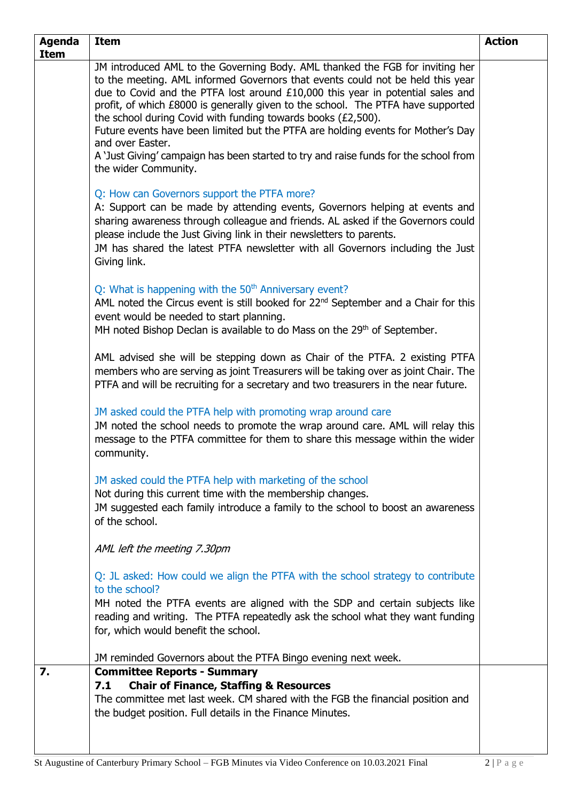| <b>Agenda</b> | <b>Item</b>                                                                                                                                              | <b>Action</b> |
|---------------|----------------------------------------------------------------------------------------------------------------------------------------------------------|---------------|
| <b>Item</b>   | JM introduced AML to the Governing Body. AML thanked the FGB for inviting her                                                                            |               |
|               | to the meeting. AML informed Governors that events could not be held this year                                                                           |               |
|               | due to Covid and the PTFA lost around £10,000 this year in potential sales and                                                                           |               |
|               | profit, of which £8000 is generally given to the school. The PTFA have supported                                                                         |               |
|               | the school during Covid with funding towards books (£2,500).                                                                                             |               |
|               | Future events have been limited but the PTFA are holding events for Mother's Day<br>and over Easter.                                                     |               |
|               | A 'Just Giving' campaign has been started to try and raise funds for the school from                                                                     |               |
|               | the wider Community.                                                                                                                                     |               |
|               |                                                                                                                                                          |               |
|               | Q: How can Governors support the PTFA more?                                                                                                              |               |
|               | A: Support can be made by attending events, Governors helping at events and                                                                              |               |
|               | sharing awareness through colleague and friends. AL asked if the Governors could<br>please include the Just Giving link in their newsletters to parents. |               |
|               | JM has shared the latest PTFA newsletter with all Governors including the Just                                                                           |               |
|               | Giving link.                                                                                                                                             |               |
|               |                                                                                                                                                          |               |
|               | Q: What is happening with the 50 <sup>th</sup> Anniversary event?                                                                                        |               |
|               | AML noted the Circus event is still booked for 22 <sup>nd</sup> September and a Chair for this                                                           |               |
|               | event would be needed to start planning.                                                                                                                 |               |
|               | MH noted Bishop Declan is available to do Mass on the 29th of September.                                                                                 |               |
|               | AML advised she will be stepping down as Chair of the PTFA. 2 existing PTFA                                                                              |               |
|               | members who are serving as joint Treasurers will be taking over as joint Chair. The                                                                      |               |
|               | PTFA and will be recruiting for a secretary and two treasurers in the near future.                                                                       |               |
|               |                                                                                                                                                          |               |
|               | JM asked could the PTFA help with promoting wrap around care                                                                                             |               |
|               | JM noted the school needs to promote the wrap around care. AML will relay this                                                                           |               |
|               | message to the PTFA committee for them to share this message within the wider                                                                            |               |
|               | community.                                                                                                                                               |               |
|               | JM asked could the PTFA help with marketing of the school                                                                                                |               |
|               | Not during this current time with the membership changes.                                                                                                |               |
|               | JM suggested each family introduce a family to the school to boost an awareness                                                                          |               |
|               | of the school.                                                                                                                                           |               |
|               |                                                                                                                                                          |               |
|               | AML left the meeting 7.30pm                                                                                                                              |               |
|               | Q: JL asked: How could we align the PTFA with the school strategy to contribute                                                                          |               |
|               | to the school?                                                                                                                                           |               |
|               | MH noted the PTFA events are aligned with the SDP and certain subjects like                                                                              |               |
|               | reading and writing. The PTFA repeatedly ask the school what they want funding                                                                           |               |
|               | for, which would benefit the school.                                                                                                                     |               |
|               |                                                                                                                                                          |               |
|               | JM reminded Governors about the PTFA Bingo evening next week.                                                                                            |               |
| 7.            | <b>Committee Reports - Summary</b>                                                                                                                       |               |
|               | <b>Chair of Finance, Staffing &amp; Resources</b><br>7.1<br>The committee met last week. CM shared with the FGB the financial position and               |               |
|               | the budget position. Full details in the Finance Minutes.                                                                                                |               |
|               |                                                                                                                                                          |               |
|               |                                                                                                                                                          |               |
|               |                                                                                                                                                          |               |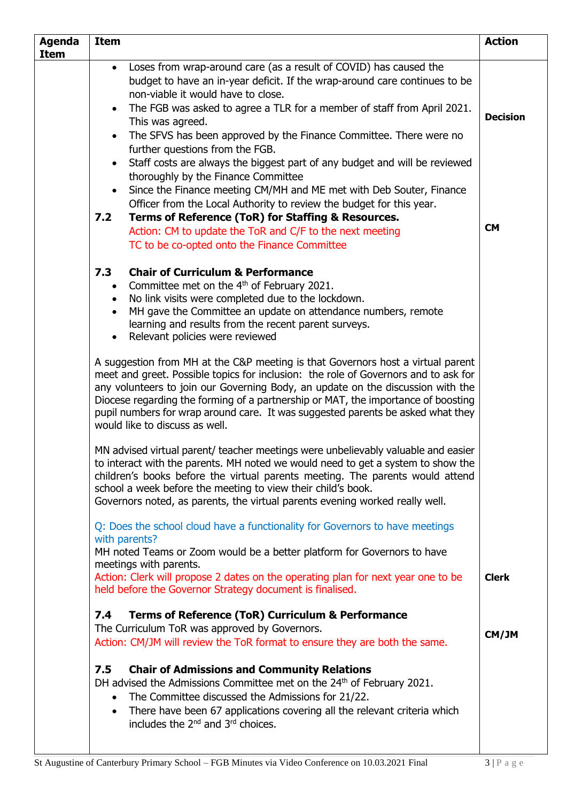| <b>Agenda</b><br><b>Item</b> | <b>Item</b>                                                                                                                                                                                                                                                                                                                                                                                                                                                                                                                                                                                                                                                                                                                                                                                                                                                                                                                                                                                                                                                                                                                                                                                                                                                                                                                                                                                                                                      | <b>Action</b>                |
|------------------------------|--------------------------------------------------------------------------------------------------------------------------------------------------------------------------------------------------------------------------------------------------------------------------------------------------------------------------------------------------------------------------------------------------------------------------------------------------------------------------------------------------------------------------------------------------------------------------------------------------------------------------------------------------------------------------------------------------------------------------------------------------------------------------------------------------------------------------------------------------------------------------------------------------------------------------------------------------------------------------------------------------------------------------------------------------------------------------------------------------------------------------------------------------------------------------------------------------------------------------------------------------------------------------------------------------------------------------------------------------------------------------------------------------------------------------------------------------|------------------------------|
|                              | Loses from wrap-around care (as a result of COVID) has caused the<br>$\bullet$<br>budget to have an in-year deficit. If the wrap-around care continues to be<br>non-viable it would have to close.<br>The FGB was asked to agree a TLR for a member of staff from April 2021.<br>$\bullet$<br>This was agreed.<br>The SFVS has been approved by the Finance Committee. There were no<br>$\bullet$<br>further questions from the FGB.<br>Staff costs are always the biggest part of any budget and will be reviewed<br>thoroughly by the Finance Committee<br>Since the Finance meeting CM/MH and ME met with Deb Souter, Finance<br>$\bullet$<br>Officer from the Local Authority to review the budget for this year.<br>7.2<br>Terms of Reference (ToR) for Staffing & Resources.<br>Action: CM to update the ToR and C/F to the next meeting<br>TC to be co-opted onto the Finance Committee                                                                                                                                                                                                                                                                                                                                                                                                                                                                                                                                                   | <b>Decision</b><br><b>CM</b> |
|                              | 7.3<br><b>Chair of Curriculum &amp; Performance</b><br>Committee met on the 4 <sup>th</sup> of February 2021.<br>$\bullet$<br>No link visits were completed due to the lockdown.<br>$\bullet$<br>MH gave the Committee an update on attendance numbers, remote<br>$\bullet$<br>learning and results from the recent parent surveys.<br>Relevant policies were reviewed<br>$\bullet$<br>A suggestion from MH at the C&P meeting is that Governors host a virtual parent<br>meet and greet. Possible topics for inclusion: the role of Governors and to ask for<br>any volunteers to join our Governing Body, an update on the discussion with the<br>Diocese regarding the forming of a partnership or MAT, the importance of boosting<br>pupil numbers for wrap around care. It was suggested parents be asked what they<br>would like to discuss as well.<br>MN advised virtual parent/ teacher meetings were unbelievably valuable and easier<br>to interact with the parents. MH noted we would need to get a system to show the<br>children's books before the virtual parents meeting. The parents would attend<br>school a week before the meeting to view their child's book.<br>Governors noted, as parents, the virtual parents evening worked really well.<br>Q: Does the school cloud have a functionality for Governors to have meetings<br>with parents?<br>MH noted Teams or Zoom would be a better platform for Governors to have |                              |
|                              | meetings with parents.<br>Action: Clerk will propose 2 dates on the operating plan for next year one to be<br>held before the Governor Strategy document is finalised.                                                                                                                                                                                                                                                                                                                                                                                                                                                                                                                                                                                                                                                                                                                                                                                                                                                                                                                                                                                                                                                                                                                                                                                                                                                                           | <b>Clerk</b>                 |
|                              | <b>Terms of Reference (ToR) Curriculum &amp; Performance</b><br>7.4<br>The Curriculum ToR was approved by Governors.<br>Action: CM/JM will review the ToR format to ensure they are both the same.                                                                                                                                                                                                                                                                                                                                                                                                                                                                                                                                                                                                                                                                                                                                                                                                                                                                                                                                                                                                                                                                                                                                                                                                                                               | CM/JM                        |
|                              | <b>Chair of Admissions and Community Relations</b><br>7.5<br>DH advised the Admissions Committee met on the 24 <sup>th</sup> of February 2021.<br>The Committee discussed the Admissions for 21/22.<br>$\bullet$<br>There have been 67 applications covering all the relevant criteria which<br>$\bullet$<br>includes the $2^{nd}$ and $3^{rd}$ choices.                                                                                                                                                                                                                                                                                                                                                                                                                                                                                                                                                                                                                                                                                                                                                                                                                                                                                                                                                                                                                                                                                         |                              |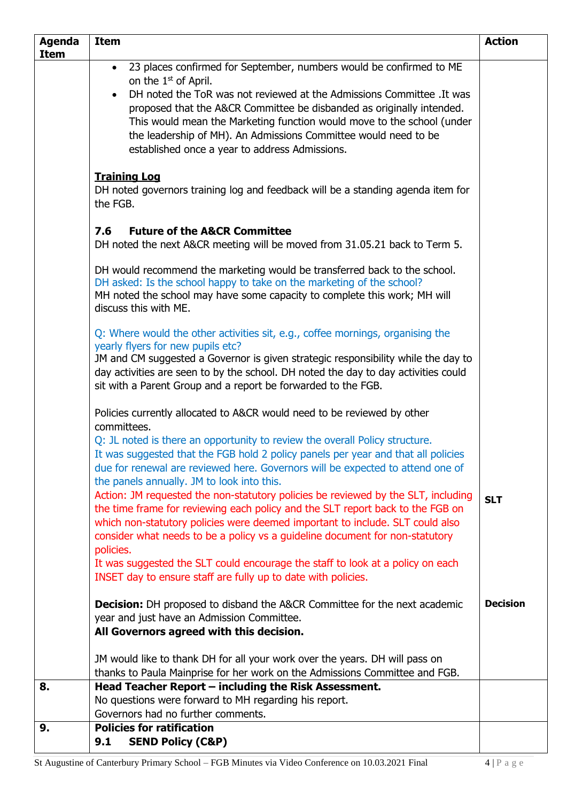| <b>Agenda</b> | <b>Item</b>                                                                                                                                                                                                                                                                                                                                                                                                                                                                                          | <b>Action</b>   |
|---------------|------------------------------------------------------------------------------------------------------------------------------------------------------------------------------------------------------------------------------------------------------------------------------------------------------------------------------------------------------------------------------------------------------------------------------------------------------------------------------------------------------|-----------------|
| Item          |                                                                                                                                                                                                                                                                                                                                                                                                                                                                                                      |                 |
|               | 23 places confirmed for September, numbers would be confirmed to ME<br>$\bullet$<br>on the 1 <sup>st</sup> of April.<br>DH noted the ToR was not reviewed at the Admissions Committee . It was<br>$\bullet$<br>proposed that the A&CR Committee be disbanded as originally intended.<br>This would mean the Marketing function would move to the school (under<br>the leadership of MH). An Admissions Committee would need to be                                                                    |                 |
|               | established once a year to address Admissions.<br><b>Training Log</b><br>DH noted governors training log and feedback will be a standing agenda item for<br>the FGB.<br>7.6<br><b>Future of the A&amp;CR Committee</b><br>DH noted the next A&CR meeting will be moved from 31.05.21 back to Term 5.                                                                                                                                                                                                 |                 |
|               | DH would recommend the marketing would be transferred back to the school.<br>DH asked: Is the school happy to take on the marketing of the school?<br>MH noted the school may have some capacity to complete this work; MH will<br>discuss this with ME.                                                                                                                                                                                                                                             |                 |
|               | Q: Where would the other activities sit, e.g., coffee mornings, organising the<br>yearly flyers for new pupils etc?<br>JM and CM suggested a Governor is given strategic responsibility while the day to<br>day activities are seen to by the school. DH noted the day to day activities could<br>sit with a Parent Group and a report be forwarded to the FGB.                                                                                                                                      |                 |
|               | Policies currently allocated to A&CR would need to be reviewed by other<br>committees.<br>Q: JL noted is there an opportunity to review the overall Policy structure.<br>It was suggested that the FGB hold 2 policy panels per year and that all policies<br>due for renewal are reviewed here. Governors will be expected to attend one of<br>the panels annually. JM to look into this.                                                                                                           |                 |
|               | Action: JM requested the non-statutory policies be reviewed by the SLT, including<br>the time frame for reviewing each policy and the SLT report back to the FGB on<br>which non-statutory policies were deemed important to include. SLT could also<br>consider what needs to be a policy vs a guideline document for non-statutory<br>policies.<br>It was suggested the SLT could encourage the staff to look at a policy on each<br>INSET day to ensure staff are fully up to date with policies. | <b>SLT</b>      |
|               | <b>Decision:</b> DH proposed to disband the A&CR Committee for the next academic<br>year and just have an Admission Committee.<br>All Governors agreed with this decision.                                                                                                                                                                                                                                                                                                                           | <b>Decision</b> |
|               | JM would like to thank DH for all your work over the years. DH will pass on<br>thanks to Paula Mainprise for her work on the Admissions Committee and FGB.                                                                                                                                                                                                                                                                                                                                           |                 |
| 8.            | Head Teacher Report - including the Risk Assessment.<br>No questions were forward to MH regarding his report.<br>Governors had no further comments.                                                                                                                                                                                                                                                                                                                                                  |                 |
| 9.            | <b>Policies for ratification</b><br><b>SEND Policy (C&amp;P)</b><br>9.1                                                                                                                                                                                                                                                                                                                                                                                                                              |                 |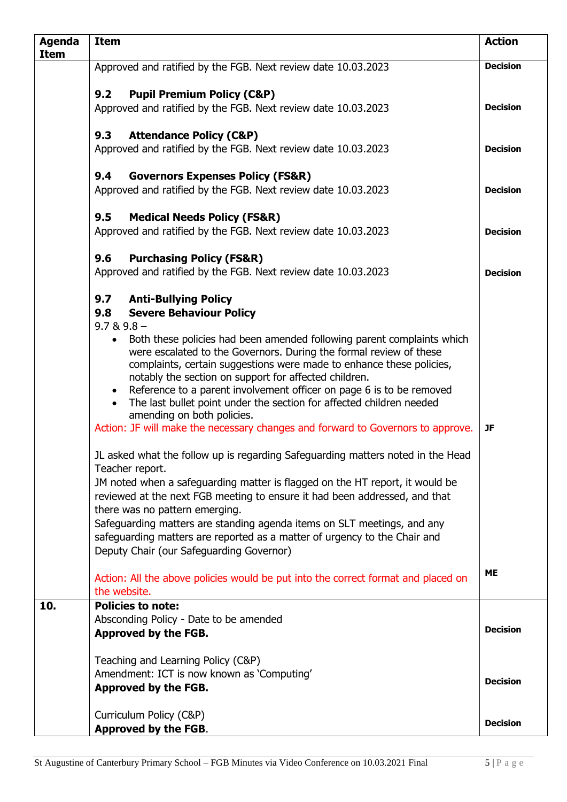| <b>Agenda</b><br><b>Item</b> | <b>Item</b>                                                                                                                                                            | <b>Action</b>   |
|------------------------------|------------------------------------------------------------------------------------------------------------------------------------------------------------------------|-----------------|
|                              | Approved and ratified by the FGB. Next review date 10.03.2023                                                                                                          | <b>Decision</b> |
|                              |                                                                                                                                                                        |                 |
|                              | <b>Pupil Premium Policy (C&amp;P)</b><br>9.2                                                                                                                           |                 |
|                              | Approved and ratified by the FGB. Next review date 10.03.2023                                                                                                          | <b>Decision</b> |
|                              | <b>Attendance Policy (C&amp;P)</b><br>9.3                                                                                                                              |                 |
|                              | Approved and ratified by the FGB. Next review date 10.03.2023                                                                                                          | <b>Decision</b> |
|                              | 9.4<br><b>Governors Expenses Policy (FS&amp;R)</b>                                                                                                                     |                 |
|                              | Approved and ratified by the FGB. Next review date 10.03.2023                                                                                                          | <b>Decision</b> |
|                              | 9.5<br><b>Medical Needs Policy (FS&amp;R)</b>                                                                                                                          |                 |
|                              | Approved and ratified by the FGB. Next review date 10.03.2023                                                                                                          | <b>Decision</b> |
|                              | 9.6<br><b>Purchasing Policy (FS&amp;R)</b>                                                                                                                             |                 |
|                              | Approved and ratified by the FGB. Next review date 10.03.2023                                                                                                          | <b>Decision</b> |
|                              | 9.7 Anti-Bullying Policy                                                                                                                                               |                 |
|                              | 9.8<br><b>Severe Behaviour Policy</b>                                                                                                                                  |                 |
|                              | $9.7 & 9.8 -$<br>Both these policies had been amended following parent complaints which<br>$\bullet$                                                                   |                 |
|                              | were escalated to the Governors. During the formal review of these                                                                                                     |                 |
|                              | complaints, certain suggestions were made to enhance these policies,                                                                                                   |                 |
|                              | notably the section on support for affected children.                                                                                                                  |                 |
|                              | Reference to a parent involvement officer on page 6 is to be removed<br>$\bullet$<br>The last bullet point under the section for affected children needed<br>$\bullet$ |                 |
|                              | amending on both policies.                                                                                                                                             |                 |
|                              | Action: JF will make the necessary changes and forward to Governors to approve.                                                                                        | <b>JF</b>       |
|                              | JL asked what the follow up is regarding Safeguarding matters noted in the Head                                                                                        |                 |
|                              | Teacher report.<br>JM noted when a safeguarding matter is flagged on the HT report, it would be                                                                        |                 |
|                              | reviewed at the next FGB meeting to ensure it had been addressed, and that                                                                                             |                 |
|                              | there was no pattern emerging.                                                                                                                                         |                 |
|                              | Safeguarding matters are standing agenda items on SLT meetings, and any                                                                                                |                 |
|                              | safeguarding matters are reported as a matter of urgency to the Chair and                                                                                              |                 |
|                              | Deputy Chair (our Safeguarding Governor)                                                                                                                               |                 |
|                              | Action: All the above policies would be put into the correct format and placed on                                                                                      | <b>ME</b>       |
|                              | the website.                                                                                                                                                           |                 |
| 10.                          | <b>Policies to note:</b>                                                                                                                                               |                 |
|                              | Absconding Policy - Date to be amended                                                                                                                                 | <b>Decision</b> |
|                              | Approved by the FGB.                                                                                                                                                   |                 |
|                              | Teaching and Learning Policy (C&P)                                                                                                                                     |                 |
|                              | Amendment: ICT is now known as 'Computing'                                                                                                                             | <b>Decision</b> |
|                              | Approved by the FGB.                                                                                                                                                   |                 |
|                              | Curriculum Policy (C&P)                                                                                                                                                |                 |
|                              | Approved by the FGB.                                                                                                                                                   | <b>Decision</b> |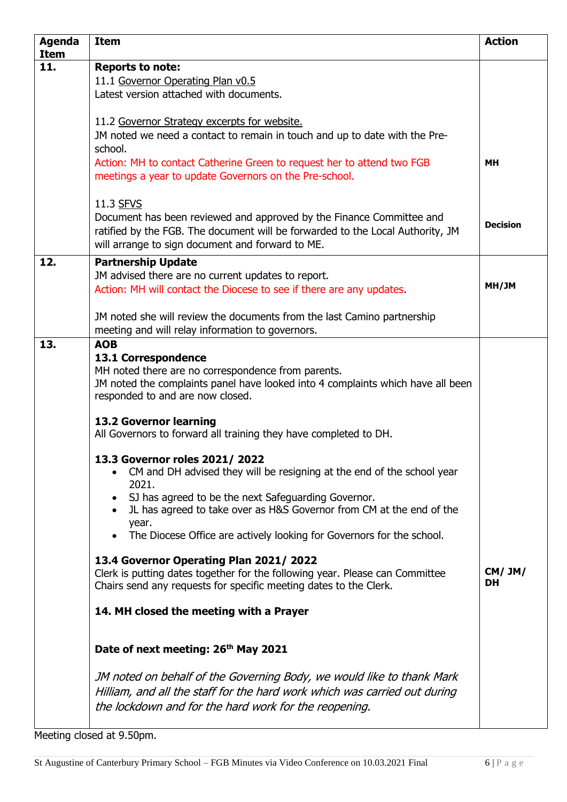| <b>Agenda</b><br><b>Item</b> | <b>Item</b>                                                                     | <b>Action</b>   |
|------------------------------|---------------------------------------------------------------------------------|-----------------|
| 11.                          | <b>Reports to note:</b>                                                         |                 |
|                              | 11.1 Governor Operating Plan v0.5                                               |                 |
|                              | Latest version attached with documents.                                         |                 |
|                              |                                                                                 |                 |
|                              | 11.2 Governor Strategy excerpts for website.                                    |                 |
|                              | JM noted we need a contact to remain in touch and up to date with the Pre-      |                 |
|                              | school.                                                                         |                 |
|                              | Action: MH to contact Catherine Green to request her to attend two FGB          | <b>MH</b>       |
|                              | meetings a year to update Governors on the Pre-school.                          |                 |
|                              |                                                                                 |                 |
|                              | 11.3 SFVS                                                                       |                 |
|                              | Document has been reviewed and approved by the Finance Committee and            | <b>Decision</b> |
|                              | ratified by the FGB. The document will be forwarded to the Local Authority, JM  |                 |
|                              | will arrange to sign document and forward to ME.                                |                 |
| 12.                          | <b>Partnership Update</b>                                                       |                 |
|                              | JM advised there are no current updates to report.                              |                 |
|                              | Action: MH will contact the Diocese to see if there are any updates.            | MH/JM           |
|                              |                                                                                 |                 |
|                              | JM noted she will review the documents from the last Camino partnership         |                 |
| 13.                          | meeting and will relay information to governors.<br><b>AOB</b>                  |                 |
|                              | 13.1 Correspondence                                                             |                 |
|                              | MH noted there are no correspondence from parents.                              |                 |
|                              | JM noted the complaints panel have looked into 4 complaints which have all been |                 |
|                              | responded to and are now closed.                                                |                 |
|                              |                                                                                 |                 |
|                              | 13.2 Governor learning                                                          |                 |
|                              | All Governors to forward all training they have completed to DH.                |                 |
|                              | 13.3 Governor roles 2021/2022                                                   |                 |
|                              | CM and DH advised they will be resigning at the end of the school year          |                 |
|                              | 2021.                                                                           |                 |
|                              | SJ has agreed to be the next Safeguarding Governor.                             |                 |
|                              | JL has agreed to take over as H&S Governor from CM at the end of the            |                 |
|                              | year.                                                                           |                 |
|                              | The Diocese Office are actively looking for Governors for the school.           |                 |
|                              | 13.4 Governor Operating Plan 2021/2022                                          |                 |
|                              | Clerk is putting dates together for the following year. Please can Committee    | CM/JM/          |
|                              | Chairs send any requests for specific meeting dates to the Clerk.               | <b>DH</b>       |
|                              |                                                                                 |                 |
|                              | 14. MH closed the meeting with a Prayer                                         |                 |
|                              |                                                                                 |                 |
|                              | Date of next meeting: 26 <sup>th</sup> May 2021                                 |                 |
|                              |                                                                                 |                 |
|                              | JM noted on behalf of the Governing Body, we would like to thank Mark           |                 |
|                              | Hilliam, and all the staff for the hard work which was carried out during       |                 |
|                              |                                                                                 |                 |
|                              | the lockdown and for the hard work for the reopening.                           |                 |
|                              |                                                                                 |                 |

Meeting closed at 9.50pm.